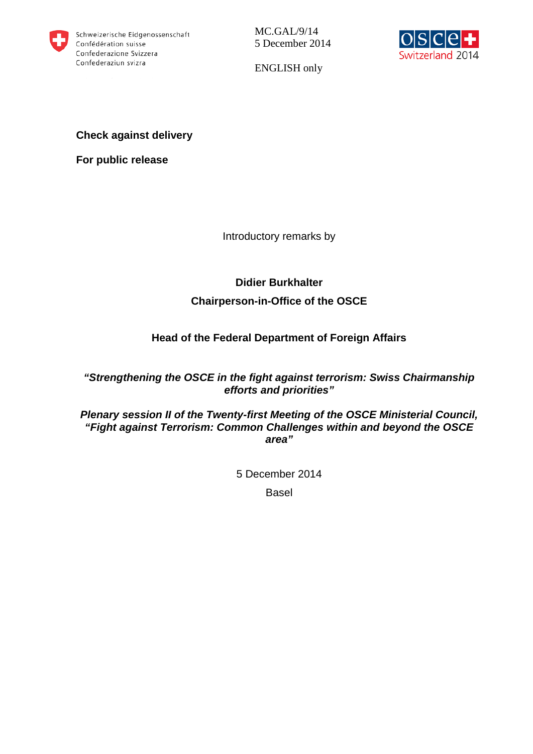



ENGLISH only

## **Check against delivery**

**For public release**

Introductory remarks by

## **Didier Burkhalter Chairperson-in-Office of the OSCE**

## **Head of the Federal Department of Foreign Affairs**

*"Strengthening the OSCE in the fight against terrorism: Swiss Chairmanship efforts and priorities"*

*Plenary session II of the Twenty-first Meeting of the OSCE Ministerial Council, "Fight against Terrorism: Common Challenges within and beyond the OSCE area"*

5 December 2014

Basel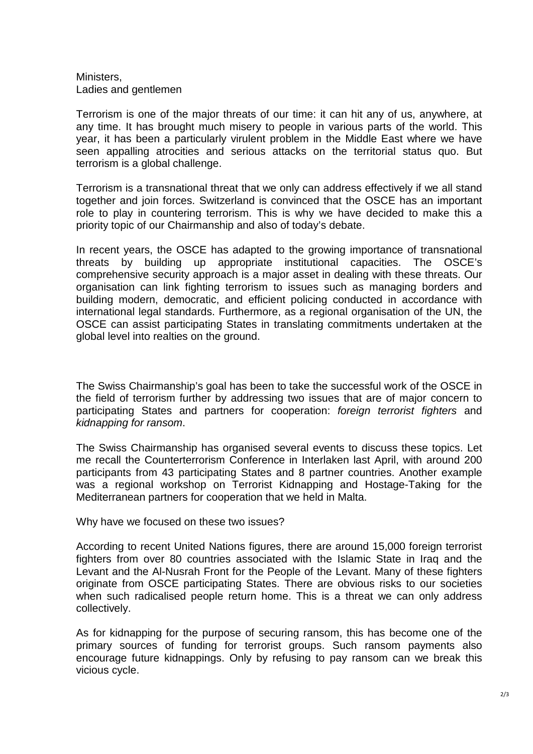## Ministers, Ladies and gentlemen

Terrorism is one of the major threats of our time: it can hit any of us, anywhere, at any time. It has brought much misery to people in various parts of the world. This year, it has been a particularly virulent problem in the Middle East where we have seen appalling atrocities and serious attacks on the territorial status quo. But terrorism is a global challenge.

Terrorism is a transnational threat that we only can address effectively if we all stand together and join forces. Switzerland is convinced that the OSCE has an important role to play in countering terrorism. This is why we have decided to make this a priority topic of our Chairmanship and also of today's debate.

In recent years, the OSCE has adapted to the growing importance of transnational threats by building up appropriate institutional capacities. The OSCE's comprehensive security approach is a major asset in dealing with these threats. Our organisation can link fighting terrorism to issues such as managing borders and building modern, democratic, and efficient policing conducted in accordance with international legal standards. Furthermore, as a regional organisation of the UN, the OSCE can assist participating States in translating commitments undertaken at the global level into realties on the ground.

The Swiss Chairmanship's goal has been to take the successful work of the OSCE in the field of terrorism further by addressing two issues that are of major concern to participating States and partners for cooperation: *foreign terrorist fighters* and *kidnapping for ransom*.

The Swiss Chairmanship has organised several events to discuss these topics. Let me recall the Counterterrorism Conference in Interlaken last April, with around 200 participants from 43 participating States and 8 partner countries. Another example was a regional workshop on Terrorist Kidnapping and Hostage-Taking for the Mediterranean partners for cooperation that we held in Malta.

Why have we focused on these two issues?

According to recent United Nations figures, there are around 15,000 foreign terrorist fighters from over 80 countries associated with the Islamic State in Iraq and the Levant and the Al-Nusrah Front for the People of the Levant. Many of these fighters originate from OSCE participating States. There are obvious risks to our societies when such radicalised people return home. This is a threat we can only address collectively.

As for kidnapping for the purpose of securing ransom, this has become one of the primary sources of funding for terrorist groups. Such ransom payments also encourage future kidnappings. Only by refusing to pay ransom can we break this vicious cycle.